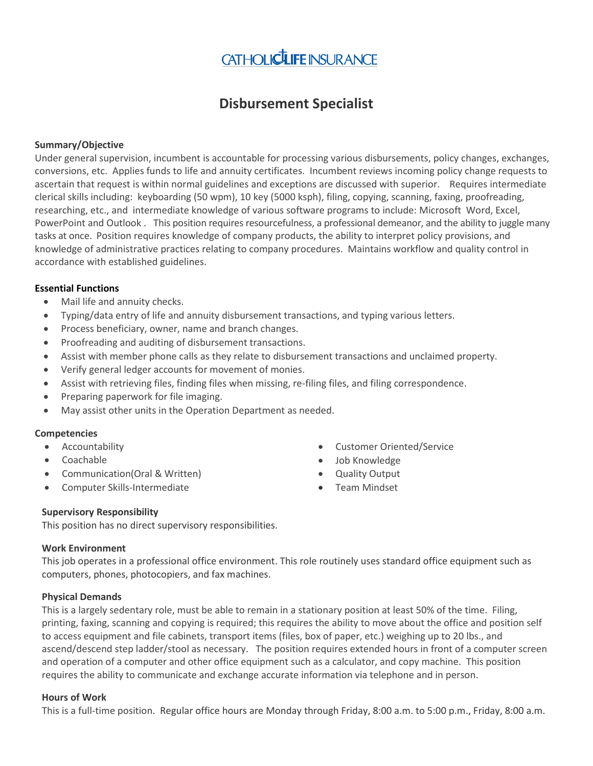# CATHOLICLIFE INSURANCE

# **Disbursement Specialist**

#### **Summary/Objective**

Under general supervision, incumbent is accountable for processing various disbursements, policy changes, exchanges, conversions, etc. Applies funds to life and annuity certificates. Incumbent reviews incoming policy change requests to ascertain that request is within normal guidelines and exceptions are discussed with superior. Requires intermediate clerical skills including: keyboarding (50 wpm), 10 key (5000 ksph), filing, copying, scanning, faxing, proofreading, researching, etc., and intermediate knowledge of various software programs to include: Microsoft Word, Excel, PowerPoint and Outlook . This position requires resourcefulness, a professional demeanor, and the ability to juggle many tasks at once. Position requires knowledge of company products, the ability to interpret policy provisions, and knowledge of administrative practices relating to company procedures. Maintains workflow and quality control in accordance with established guidelines.

#### **Essential Functions**

- Mail life and annuity checks.
- Typing/data entry of life and annuity disbursement transactions, and typing various letters.
- Process beneficiary, owner, name and branch changes.
- Proofreading and auditing of disbursement transactions.
- Assist with member phone calls as they relate to disbursement transactions and unclaimed property.
- Verify general ledger accounts for movement of monies.
- Assist with retrieving files, finding files when missing, re-filing files, and filing correspondence.
- Preparing paperwork for file imaging.
- May assist other units in the Operation Department as needed.

#### **Competencies**

- Accountability
- Coachable
- Communication(Oral & Written)
- Computer Skills-Intermediate
- Customer Oriented/Service
- Job Knowledge
- Quality Output
- Team Mindset

#### **Supervisory Responsibility**

This position has no direct supervisory responsibilities.

#### **Work Environment**

This job operates in a professional office environment. This role routinely uses standard office equipment such as computers, phones, photocopiers, and fax machines.

#### **Physical Demands**

This is a largely sedentary role, must be able to remain in a stationary position at least 50% of the time. Filing, printing, faxing, scanning and copying is required; this requires the ability to move about the office and position self to access equipment and file cabinets, transport items (files, box of paper, etc.) weighing up to 20 lbs., and ascend/descend step ladder/stool as necessary. The position requires extended hours in front of a computer screen and operation of a computer and other office equipment such as a calculator, and copy machine. This position requires the ability to communicate and exchange accurate information via telephone and in person.

#### **Hours of Work**

This is a full-time position. Regular office hours are Monday through Friday, 8:00 a.m. to 5:00 p.m., Friday, 8:00 a.m.